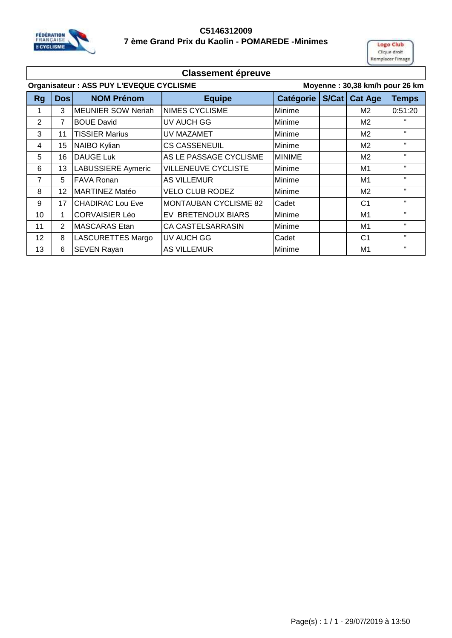

## **C5146312009 7 ème Grand Prix du Kaolin - POMAREDE -Minimes**

Logo Club Clique droit Remplacer l'image

# **Classement épreuve**

| Organisateur : ASS PUY L'EVEQUE CYCLISME |                   |                           |                              | Moyenne: 30,38 km/h pour 26 km |       |                |                |
|------------------------------------------|-------------------|---------------------------|------------------------------|--------------------------------|-------|----------------|----------------|
| <b>Rg</b>                                | <b>Dos</b>        | <b>NOM Prénom</b>         | <b>Equipe</b>                | Catégorie                      | S/Cat | Cat Age        | <b>Temps</b>   |
|                                          | 3                 | MEUNIER SOW Neriah        | <b>NIMES CYCLISME</b>        | Minime                         |       | M <sub>2</sub> | 0:51:20        |
| $\overline{2}$                           | 7                 | <b>BOUE David</b>         | UV AUCH GG                   | Minime                         |       | M2             | $\mathbf{H}$   |
| 3                                        | 11                | <b>TISSIER Marius</b>     | <b>UV MAZAMET</b>            | Minime                         |       | M <sub>2</sub> | $\mathbf{H}$   |
| 4                                        | 15                | NAIBO Kylian              | <b>CS CASSENEUIL</b>         | Minime                         |       | M <sub>2</sub> | $\blacksquare$ |
| 5                                        | 16                | <b>DAUGE Luk</b>          | AS LE PASSAGE CYCLISME       | <b>MINIME</b>                  |       | M <sub>2</sub> | $\mathbf{H}$   |
| 6                                        | 13                | <b>LABUSSIERE Aymeric</b> | <b>VILLENEUVE CYCLISTE</b>   | Minime                         |       | M1             | $\mathbf{H}$   |
| 7                                        | 5                 | FAVA Ronan                | <b>AS VILLEMUR</b>           | Minime                         |       | M <sub>1</sub> | $\mathbf{H}$   |
| 8                                        | $12 \overline{ }$ | <b>MARTINEZ Matéo</b>     | <b>VELO CLUB RODEZ</b>       | Minime                         |       | M <sub>2</sub> | $\mathbf{H}$   |
| 9                                        | 17                | <b>CHADIRAC Lou Eve</b>   | <b>MONTAUBAN CYCLISME 82</b> | Cadet                          |       | C <sub>1</sub> | $\mathbf{H}$   |
| 10                                       | 1                 | <b>CORVAISIER Léo</b>     | EV BRETENOUX BIARS           | Minime                         |       | M1             | $\blacksquare$ |
| 11                                       | 2                 | <b>MASCARAS</b> Etan      | CA CASTELSARRASIN            | Minime                         |       | M1             | $\mathbf{H}$   |
| 12                                       | 8                 | <b>LASCURETTES Margo</b>  | UV AUCH GG                   | Cadet                          |       | C <sub>1</sub> | $\mathbf{H}$   |
| 13                                       | 6                 | <b>SEVEN Rayan</b>        | <b>AS VILLEMUR</b>           | Minime                         |       | M1             | $\mathbf{H}$   |
|                                          |                   |                           |                              |                                |       |                |                |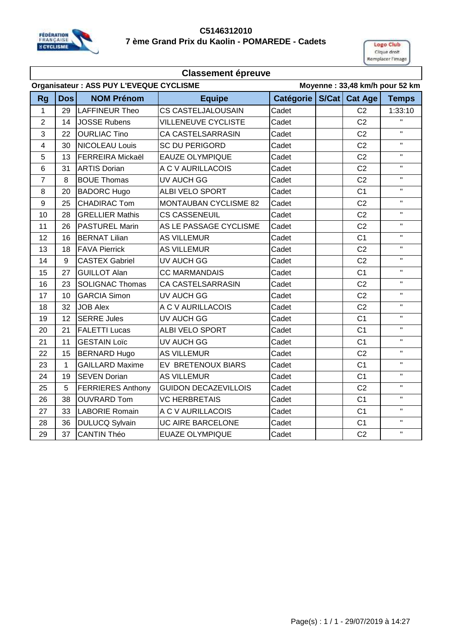

### **C5146312010 7 ème Grand Prix du Kaolin - POMAREDE - Cadets**

Logo Club Clique droit Remplacer l'image

# **Classement épreuve**

| <b>Dos</b><br><b>Rg</b><br>$\mathbf{1}$<br>29<br>$\overline{2}$<br>14<br>3<br>22 | <b>NOM Prénom</b><br>LAFFINEUR Theo<br><b>JOSSE Rubens</b><br><b>OURLIAC Tino</b> | <b>Equipe</b><br>CS CASTELJALOUSAIN<br><b>VILLENEUVE CYCLISTE</b> | Catégorie   S/Cat   Cat Age  <br>Cadet |                | <b>Temps</b> |
|----------------------------------------------------------------------------------|-----------------------------------------------------------------------------------|-------------------------------------------------------------------|----------------------------------------|----------------|--------------|
|                                                                                  |                                                                                   |                                                                   |                                        |                |              |
|                                                                                  |                                                                                   |                                                                   |                                        | C <sub>2</sub> | 1:33:10      |
|                                                                                  |                                                                                   |                                                                   | Cadet                                  | C <sub>2</sub> | $\mathbf{H}$ |
|                                                                                  |                                                                                   | CA CASTELSARRASIN                                                 | Cadet                                  | C <sub>2</sub> | $\mathbf H$  |
| $\overline{4}$<br>30                                                             | <b>NICOLEAU Louis</b>                                                             | <b>SC DU PERIGORD</b>                                             | Cadet                                  | C <sub>2</sub> | $\mathbf{H}$ |
| 5<br>13                                                                          | <b>FERREIRA Mickaël</b>                                                           | <b>EAUZE OLYMPIQUE</b>                                            | Cadet                                  | C <sub>2</sub> | $\mathbf{H}$ |
| 6<br>31                                                                          | <b>ARTIS Dorian</b>                                                               | A C V AURILLACOIS                                                 | Cadet                                  | C <sub>2</sub> | $\mathbf H$  |
| $\overline{7}$<br>8                                                              | <b>BOUE Thomas</b>                                                                | UV AUCH GG                                                        | Cadet                                  | C <sub>2</sub> | $\mathbf{H}$ |
| 8<br>20                                                                          | <b>BADORC Hugo</b>                                                                | ALBI VELO SPORT                                                   | Cadet                                  | C <sub>1</sub> | $\mathbf H$  |
| $9\,$<br>25                                                                      | <b>CHADIRAC Tom</b>                                                               | <b>MONTAUBAN CYCLISME 82</b>                                      | Cadet                                  | C <sub>2</sub> | $\mathbf H$  |
| 10<br>28                                                                         | <b>GRELLIER Mathis</b>                                                            | <b>CS CASSENEUIL</b>                                              | Cadet                                  | C <sub>2</sub> | $\mathbf{H}$ |
| 11<br>26                                                                         | <b>PASTUREL Marin</b>                                                             | AS LE PASSAGE CYCLISME                                            | Cadet                                  | C <sub>2</sub> | $\mathbf H$  |
| 12<br>16                                                                         | <b>BERNAT Lilian</b>                                                              | <b>AS VILLEMUR</b>                                                | Cadet                                  | C <sub>1</sub> | $\mathbf{H}$ |
| 13<br>18                                                                         | <b>FAVA Pierrick</b>                                                              | <b>AS VILLEMUR</b>                                                | Cadet                                  | C <sub>2</sub> | $\mathbf{H}$ |
| 9<br>14                                                                          | <b>CASTEX Gabriel</b>                                                             | <b>UV AUCH GG</b>                                                 | Cadet                                  | C <sub>2</sub> | $\mathbf{H}$ |
| 15<br>27                                                                         | <b>GUILLOT Alan</b>                                                               | <b>CC MARMANDAIS</b>                                              | Cadet                                  | C <sub>1</sub> | $\mathbf{H}$ |
| 16<br>23                                                                         | <b>SOLIGNAC Thomas</b>                                                            | CA CASTELSARRASIN                                                 | Cadet                                  | C <sub>2</sub> | $\mathbf H$  |
| 17<br>10                                                                         | <b>GARCIA Simon</b>                                                               | UV AUCH GG                                                        | Cadet                                  | C <sub>2</sub> | $\mathbf{H}$ |
| 32<br>18                                                                         | <b>JOB Alex</b>                                                                   | A C V AURILLACOIS                                                 | Cadet                                  | C <sub>2</sub> | $\mathbf{H}$ |
| 19<br>12                                                                         | <b>SERRE Jules</b>                                                                | <b>UV AUCH GG</b>                                                 | Cadet                                  | C <sub>1</sub> | $\mathbf{H}$ |
| 20<br>21                                                                         | <b>FALETTI Lucas</b>                                                              | ALBI VELO SPORT                                                   | Cadet                                  | C <sub>1</sub> | $\mathbf H$  |
| 21<br>11                                                                         | <b>GESTAIN Loïc</b>                                                               | UV AUCH GG                                                        | Cadet                                  | C <sub>1</sub> | $\mathbf{H}$ |
| 22<br>15                                                                         | <b>BERNARD Hugo</b>                                                               | <b>AS VILLEMUR</b>                                                | Cadet                                  | C <sub>2</sub> | $\mathbf H$  |
| 23<br>1                                                                          | <b>GAILLARD Maxime</b>                                                            | EV BRETENOUX BIARS                                                | Cadet                                  | C <sub>1</sub> | $\mathbf{H}$ |
| 24<br>19                                                                         | <b>SEVEN Dorian</b>                                                               | <b>AS VILLEMUR</b>                                                | Cadet                                  | C <sub>1</sub> | $\mathbf{H}$ |
| 25<br>5                                                                          | <b>FERRIERES Anthony</b>                                                          | <b>GUIDON DECAZEVILLOIS</b>                                       | Cadet                                  | C <sub>2</sub> | $\mathbf{H}$ |
| 26<br>38                                                                         | <b>OUVRARD Tom</b>                                                                | <b>VC HERBRETAIS</b>                                              | Cadet                                  | C <sub>1</sub> | $\mathbf H$  |
| 27<br>33                                                                         | <b>LABORIE Romain</b>                                                             | A C V AURILLACOIS                                                 | Cadet                                  | C <sub>1</sub> | $\mathbf{H}$ |
| 28<br>36                                                                         | <b>DULUCQ Sylvain</b>                                                             | <b>UC AIRE BARCELONE</b>                                          | Cadet                                  | C <sub>1</sub> | $\mathbf{H}$ |
| 29<br>37                                                                         | <b>CANTIN Théo</b>                                                                | <b>EUAZE OLYMPIQUE</b>                                            | Cadet                                  | C <sub>2</sub> | $\mathbf H$  |